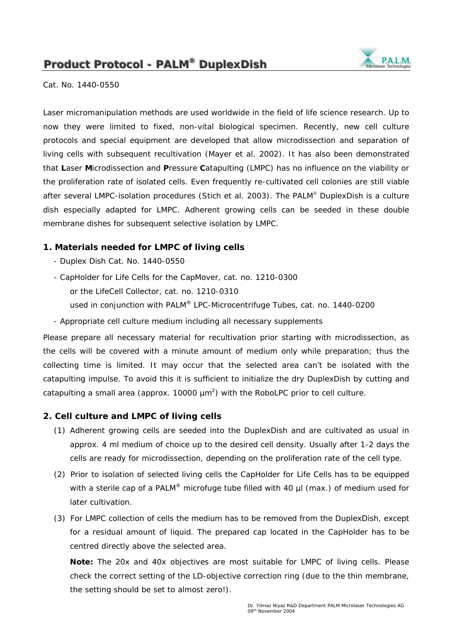

Cat. No. 1440-0550

Laser micromanipulation methods are used worldwide in the field of life science research. Up to now they were limited to fixed, non-vital biological specimen. Recently, new cell culture protocols and special equipment are developed that allow microdissection and separation of living cells with subsequent recultivation (Mayer et al. 2002). It has also been demonstrated that **L**aser **M**icrodissection and **P**ressure **C**atapulting (LMPC) has no influence on the viability or the proliferation rate of isolated cells. Even frequently re-cultivated cell colonies are still viable after several LMPC-isolation procedures (Stich et al. 2003). The PALM® DuplexDish is a culture dish especially adapted for LMPC. Adherent growing cells can be seeded in these double membrane dishes for subsequent selective isolation by LMPC.

# **1. Materials needed for LMPC of living cells**

- Duplex Dish Cat. No. 1440-0550
- CapHolder for Life Cells for the CapMover, cat. no. 1210-0300 or the LifeCell Collector, cat. no. 1210-0310 used in conjunction with PALM® LPC-Microcentrifuge Tubes, cat. no. 1440-0200
- Appropriate cell culture medium including all necessary supplements

Please prepare all necessary material for recultivation prior starting with microdissection, as the cells will be covered with a minute amount of medium only while preparation; thus the collecting time is limited. *It may occur that the selected area can't be isolated with the catapulting impulse. To avoid this it is sufficient to initialize the dry DuplexDish by cutting and catapulting a small area (approx. 10000 µm2 ) with the RoboLPC prior to cell culture.* 

## **2. Cell culture and LMPC of living cells**

- (1) Adherent growing cells are seeded into the DuplexDish and are cultivated as usual in approx. 4 ml medium of choice up to the desired cell density. Usually after 1-2 days the cells are ready for microdissection, depending on the proliferation rate of the cell type.
- (2) Prior to isolation of selected living cells the CapHolder for Life Cells has to be equipped with a sterile cap of a PALM<sup>®</sup> microfuge tube filled with 40 µl (max.) of medium used for later cultivation.
- (3) For LMPC collection of cells the medium has to be removed from the DuplexDish, except for a residual amount of liquid. The prepared cap located in the CapHolder has to be centred directly above the selected area.

**Note:** The 20x and 40x objectives are most suitable for LMPC of living cells. Please check the correct setting of the LD-objective correction ring (due to the thin membrane, the setting should be set to almost zero!).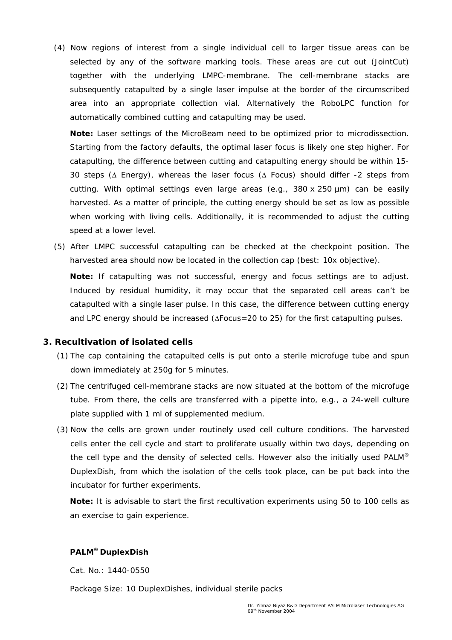(4) Now regions of interest from a single individual cell to larger tissue areas can be selected by any of the software marking tools. These areas are cut out (JointCut) together with the underlying LMPC-membrane. The cell-membrane stacks are subsequently catapulted by a single laser impulse at the border of the circumscribed area into an appropriate collection vial. Alternatively the RoboLPC function for automatically combined cutting and catapulting may be used.

**Note:** Laser settings of the MicroBeam need to be optimized prior to microdissection. Starting from the factory defaults, the optimal laser focus is likely one step higher. For catapulting, the difference between cutting and catapulting energy should be within 15- 30 steps (∆ Energy), whereas the laser focus (∆ Focus) should differ -2 steps from cutting. With optimal settings even large areas (e.g., 380 x 250 µm) can be easily harvested. As a matter of principle, the cutting energy should be set as low as possible when working with living cells. Additionally, it is recommended to adjust the cutting speed at a lower level.

(5) After LMPC successful catapulting can be checked at the checkpoint position. The harvested area should now be located in the collection cap (best: 10x objective).

**Note:** If catapulting was not successful, energy and focus settings are to adjust. Induced by residual humidity, it may occur that the separated cell areas can't be catapulted with a single laser pulse. In this case, the difference between cutting energy and LPC energy should be increased (∆Focus=20 to 25) for the first catapulting pulses.

#### **3. Recultivation of isolated cells**

- (1) The cap containing the catapulted cells is put onto a sterile microfuge tube and spun down immediately at 250g for 5 minutes.
- (2) The centrifuged cell-membrane stacks are now situated at the bottom of the microfuge tube. From there, the cells are transferred with a pipette into, e.g., a 24-well culture plate supplied with 1 ml of supplemented medium.
- (3) Now the cells are grown under routinely used cell culture conditions. The harvested cells enter the cell cycle and start to proliferate usually within two days, depending on the cell type and the density of selected cells. However also the initially used PALM<sup>®</sup> DuplexDish, from which the isolation of the cells took place, can be put back into the incubator for further experiments.

**Note:** It is advisable to start the first recultivation experiments using 50 to 100 cells as an exercise to gain experience.

### **PALM® DuplexDish**

Cat. No.: 1440-0550

Package Size: 10 DuplexDishes, individual sterile packs